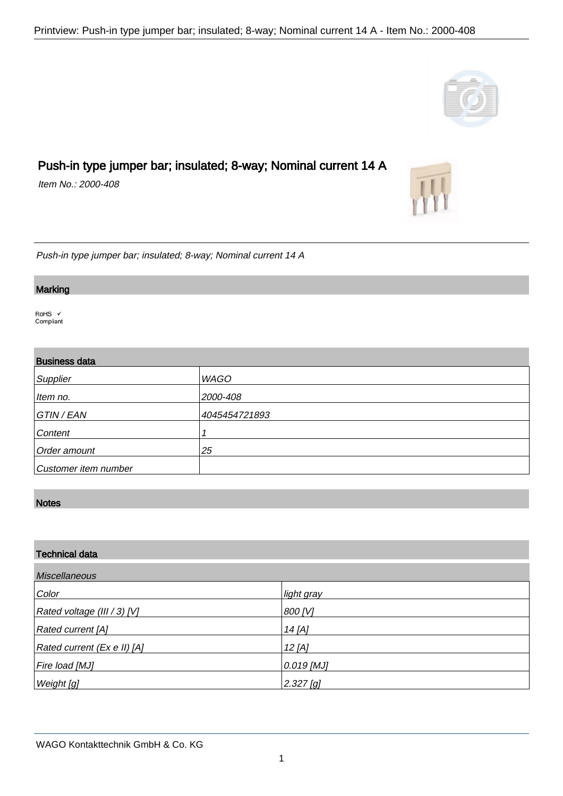# Push-in type jumper bar; insulated; 8-way; Nominal current 14 A

Item No.: 2000-408

Push-in type jumper bar; insulated; 8-way; Nominal current 14 A

#### **Marking**

.

.

RoHS V Compliant

### Business data

| Supplier             | <b>WAGO</b>   |
|----------------------|---------------|
| Item no.             | 2000-408      |
| GTIN / EAN           | 4045454721893 |
| Content              |               |
| Order amount         | 25            |
| Customer item number |               |

# **Notes**

.

| <b>Technical data</b><br><b>Miscellaneous</b> |              |  |
|-----------------------------------------------|--------------|--|
|                                               |              |  |
| Rated voltage (III / 3) [V]                   | 800 [V]      |  |
| Rated current [A]                             | 14 [A]       |  |
| Rated current (Ex e II) [A]                   | $12$ [A]     |  |
| Fire load [MJ]                                | $0.019$ [MJ] |  |
| Weight [g]                                    | $2.327$ [g]  |  |



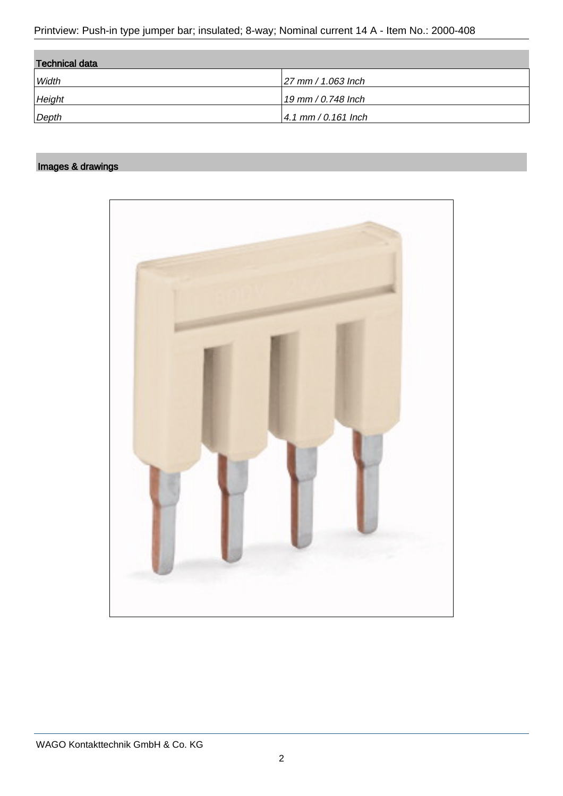Printview: Push-in type jumper bar; insulated; 8-way; Nominal current 14 A - Item No.: 2000-408

| <b>Technical data</b> |                       |
|-----------------------|-----------------------|
| Width                 | $ 27$ mm / 1.063 lnch |
| Height                | 19 mm / 0.748 Inch    |
| Depth                 | $4.1$ mm / 0.161 lnch |

## Images & drawings